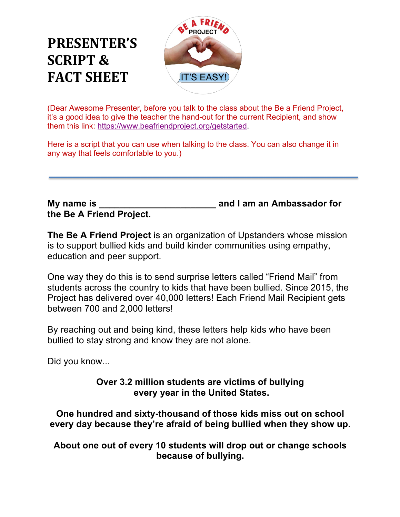## **PRESENTER'S SCRIPT & FACT SHEET**



(Dear Awesome Presenter, before you talk to the class about the Be a Friend Project, it's a good idea to give the teacher the hand-out for the current Recipient, and show them this link: https://www.beafriendproject.org/getstarted.

Here is a script that you can use when talking to the class. You can also change it in any way that feels comfortable to you.)

## **the Be A Friend Project.**

**My name is**  The state of the state of the and I am an Ambassador for  $\overline{a}$ 

**The Be A Friend Project** is an organization of Upstanders whose mission is to support bullied kids and build kinder communities using empathy, education and peer support.

One way they do this is to send surprise letters called "Friend Mail" from students across the country to kids that have been bullied. Since 2015, the Project has delivered over 40,000 letters! Each Friend Mail Recipient gets between 700 and 2,000 letters!

By reaching out and being kind, these letters help kids who have been bullied to stay strong and know they are not alone.

Did you know...

## **Over 3.2 million students are victims of bullying every year in the United States.**

**One hundred and sixty-thousand of those kids miss out on school every day because they're afraid of being bullied when they show up.**

**About one out of every 10 students will drop out or change schools because of bullying.**